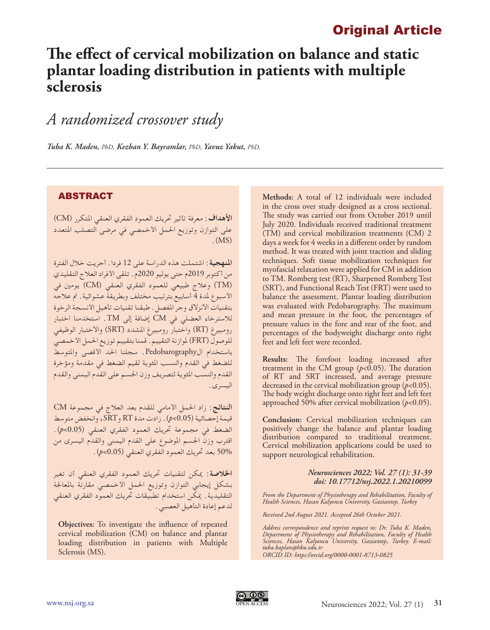## Original Article

# **The effect of cervical mobilization on balance and static plantar loading distribution in patients with multiple sclerosis**

## *A randomized crossover study*

*Tuba K. Maden, PhD, Kezban Y. Bayramlar, PhD, Yavuz Yakut, PhD.*

## **ABSTRACT**

**األهداف:** معرفة تأثير حتريك العمود الفقري العنقي املتكرر )CM) على التوازن وتوزيع احلمل األخمصي في مرضى التصلب املتعدد  $(MS)$ 

**املنهجية:** اشتملت هذه الدراسة على 12 فردا. أجريت خالل الفترة من أكتوبر 2019م حتى يوليو 2020م. تلقى األفراد العالج التقليدي )TM )وعالج طبيعي للعمود الفقري العنقي )CM )يومني في الأسبوع لمدة 4 أسابيع بترتيب مختلف وبطريقة عشوائية. تم علاجه بتقنيات الانزلاق وجر المفصل. طبقنا تقنيات تأهيل الأنسجة الرخوة لالسترخاء العضلي في CM إضافة إلى TM. استخدمنا اختبار رومبيرغ )RT )واختبار رومبيرغ املشدد )SRT )واالختبار الوظيفي للوصول (FRT) لموازنة التقييم. قمنا بتقييم توزيع الحمل الأخمصي باستخدام الPedobarography. سجلنا احلد األقصى واملتوسط للضغط في القدم والنسب املئوية لقيم الضغط في مقدمة ومؤخرة القدم والنسب املئوية لتصريف وزن اجلسم على القدم اليمنى والقدم اليسرى.

**النتائج:** زاد احلمل األمامي للقدم بعد العالج في مجموعة CM قيمة إحصائية )0.05>*p*). زادت مدة RT وSRT، وانخفض متوسط الضغط في مجموعة حتريك العمود الفقري العنقي )0.05>*p*). اقترب وزن اجلسم املوضوع على القدم اليمنى والقدم اليسرى من 50% بعد حتريك العمود الفقري العنقي )0.05>*p*).

**اخلالصة:** ميكن لتقنيات حتريك العمود الفقري العنقي أن تغير بشكل إيجابي التوازن وتوزيع احلمل األخمصي مقارنة باملعاجلة التقليدية. ميكن استخدام تطبيقات حتريك العمود الفقري العنقي لدعم إعادة التأهيل العصبي.

**Objectives:** To investigate the influence of repeated cervical mobilization (CM) on balance and plantar loading distribution in patients with Multiple Sclerosis (MS).

**Methods:** A total of 12 individuals were included in the cross over study designed as a cross sectional. The study was carried out from October 2019 until July 2020. Individuals received traditional treatment (TM) and cervical mobilization treatments (CM) 2 days a week for 4 weeks in a different order by random method. It was treated with joint traction and sliding techniques. Soft tissue mobilization techniques for myofascial relaxation were applied for CM in addition to TM. Romberg test (RT), Sharpened Romberg Test (SRT), and Functional Reach Test (FRT) were used to balance the assessment. Plantar loading distribution was evaluated with Pedobarography. The maximum and mean pressure in the foot, the percentages of pressure values in the fore and rear of the foot, and percentages of the bodyweight discharge onto right feet and left feet were recorded.

**Results:** The forefoot loading increased after treatment in the CM group  $(p<0.05)$ . The duration of RT and SRT increased, and average pressure decreased in the cervical mobilization group (*p*<0.05). The body weight discharge onto right feet and left feet approached 50% after cervical mobilization (*p*<0.05).

**Conclusion:** Cervical mobilization techniques can positively change the balance and plantar loading distribution compared to traditional treatment. Cervical mobilization applications could be used to support neurological rehabilitation.

#### *Neurosciences 2022; Vol. 27 (1): 31-39 doi: 10.17712/nsj.2022.1.20210099*

*From the Department of Physiotherapy and Rehabilitation, Faculty of Health Sciences, Hasan Kalyoncu University, Gaziantep, Turkey*

*Received 2nd August 2021. Accepted 26th October 2021.*

*Address correspondence and reprint request to: Dr. Tuba K. Maden, Department of Physiotherapy and Rehabilitation, Faculty of Health Sciences, Hasan Kalyoncu University, Gaziantep, Turkey. E-mail: tuba.kaplan@hku.edu.tr ORCID ID: https://orcid.org/0000-0001-8713-0825*

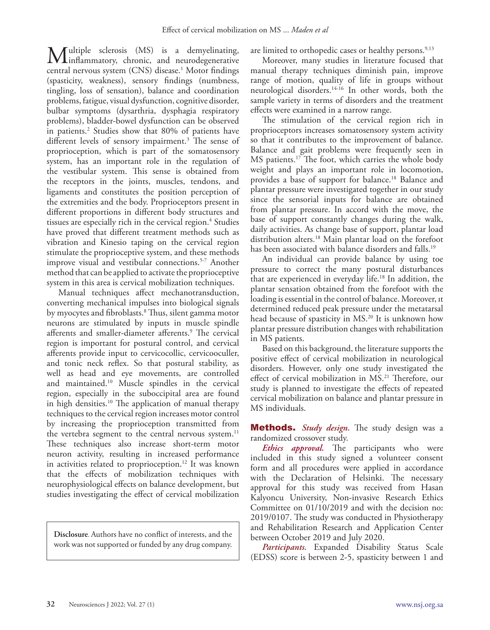Multiple sclerosis (MS) is a demyelinating,<br>
inflammatory, chronic, and neurodegenerative<br>
intervals are seen (CNS) discussed Materialines central nervous system (CNS) disease.<sup>1</sup> Motor findings (spasticity, weakness), sensory findings (numbness, tingling, loss of sensation), balance and coordination problems, fatigue, visual dysfunction, cognitive disorder, bulbar symptoms (dysarthria, dysphagia respiratory problems), bladder-bowel dysfunction can be observed in patients.2 Studies show that 80% of patients have different levels of sensory impairment.<sup>3</sup> The sense of proprioception, which is part of the somatosensory system, has an important role in the regulation of the vestibular system. This sense is obtained from the receptors in the joints, muscles, tendons, and ligaments and constitutes the position perception of the extremities and the body. Proprioceptors present in different proportions in different body structures and tissues are especially rich in the cervical region.4 Studies have proved that different treatment methods such as vibration and Kinesio taping on the cervical region stimulate the proprioceptive system, and these methods improve visual and vestibular connections.<sup>5-7</sup> Another method that can be applied to activate the proprioceptive system in this area is cervical mobilization techniques.

Manual techniques affect mechanotransduction, converting mechanical impulses into biological signals by myocytes and fibroblasts.8 Thus, silent gamma motor neurons are stimulated by inputs in muscle spindle afferents and smaller-diameter afferents.9 The cervical region is important for postural control, and cervical afferents provide input to cervicocollic, cervicooculler, and tonic neck reflex. So that postural stability, as well as head and eye movements, are controlled and maintained.10 Muscle spindles in the cervical region, especially in the suboccipital area are found in high densities.10 The application of manual therapy techniques to the cervical region increases motor control by increasing the proprioception transmitted from the vertebra segment to the central nervous system.<sup>11</sup> These techniques also increase short-term motor neuron activity, resulting in increased performance in activities related to proprioception.<sup>12</sup> It was known that the effects of mobilization techniques with neurophysiological effects on balance development, but studies investigating the effect of cervical mobilization

**Disclosure**. Authors have no conflict of interests, and the work was not supported or funded by any drug company.

are limited to orthopedic cases or healthy persons.<sup>9,13</sup>

Moreover, many studies in literature focused that manual therapy techniques diminish pain, improve range of motion, quality of life in groups without neurological disorders.14-16 In other words, both the sample variety in terms of disorders and the treatment effects were examined in a narrow range.

The stimulation of the cervical region rich in proprioceptors increases somatosensory system activity so that it contributes to the improvement of balance. Balance and gait problems were frequently seen in MS patients.17 The foot, which carries the whole body weight and plays an important role in locomotion, provides a base of support for balance.18 Balance and plantar pressure were investigated together in our study since the sensorial inputs for balance are obtained from plantar pressure. In accord with the move, the base of support constantly changes during the walk, daily activities. As change base of support, plantar load distribution alters.18 Main plantar load on the forefoot has been associated with balance disorders and falls.<sup>19</sup>

An individual can provide balance by using toe pressure to correct the many postural disturbances that are experienced in everyday life.18 In addition, the plantar sensation obtained from the forefoot with the loading is essential in the control of balance. Moreover, ıt determined reduced peak pressure under the metatarsal head because of spasticity in MS.<sup>20</sup> It is unknown how plantar pressure distribution changes with rehabilitation in MS patients.

Based on this background, the literature supports the positive effect of cervical mobilization in neurological disorders. However, only one study investigated the effect of cervical mobilization in MS.<sup>21</sup> Therefore, our study is planned to investigate the effects of repeated cervical mobilization on balance and plantar pressure in MS individuals.

Methods. *Study design.* The study design was a randomized crossover study.

*Ethics approval.* The participants who were included in this study signed a volunteer consent form and all procedures were applied in accordance with the Declaration of Helsinki. The necessary approval for this study was received from Hasan Kalyoncu University, Non-invasive Research Ethics Committee on 01/10/2019 and with the decision no: 2019/0107. The study was conducted in Physiotherapy and Rehabilitation Research and Application Center between October 2019 and July 2020.

*Participants.* Expanded Disability Status Scale (EDSS) score is between 2-5, spasticity between 1 and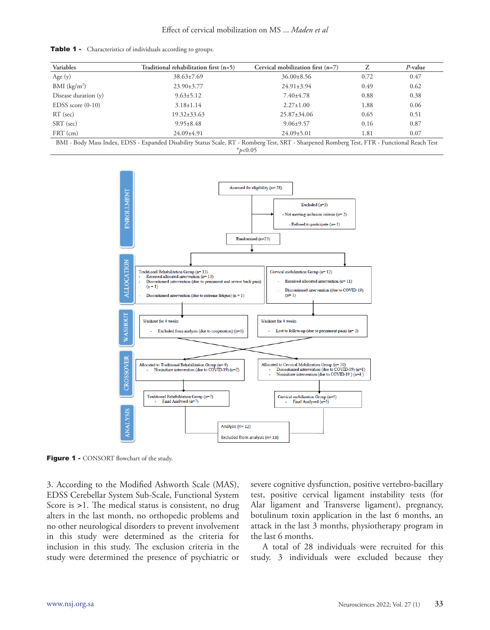|  | <b>Table 1</b> • Characteristics of individuals according to groups. |  |  |
|--|----------------------------------------------------------------------|--|--|
|--|----------------------------------------------------------------------|--|--|

| Variables                  | Traditional rehabilitation first $(n=5)$                                                                                                                                                                                                                                      | Cervical mobilization first $(n=7)$ |      | $P$ -value |
|----------------------------|-------------------------------------------------------------------------------------------------------------------------------------------------------------------------------------------------------------------------------------------------------------------------------|-------------------------------------|------|------------|
| Age $(y)$                  | $38.63 \pm 7.69$                                                                                                                                                                                                                                                              | $36.00\pm8.56$                      | 0.72 | 0.47       |
| $BMI$ (kg/m <sup>2</sup> ) | $23.90 \pm 3.77$                                                                                                                                                                                                                                                              | $24.91 \pm 3.94$                    | 0.49 | 0.62       |
| Disease duration $(y)$     | $9.63 \pm 5.12$                                                                                                                                                                                                                                                               | $7.40 \pm 4.78$                     | 0.88 | 0.38       |
| EDSS score $(0-10)$        | $3.18 \pm 1.14$                                                                                                                                                                                                                                                               | $2.27 \pm 1.00$                     | 1.88 | 0.06       |
| $RT$ (sec)                 | $19.32 \pm 33.63$                                                                                                                                                                                                                                                             | $25.87 \pm 34.06$                   | 0.65 | 0.51       |
| SRT (sec)                  | $9.95 \pm 8.48$                                                                                                                                                                                                                                                               | $9.06 \pm 9.57$                     | 0.16 | 0.87       |
| $FRT$ (cm)                 | $24.09 \pm 4.91$                                                                                                                                                                                                                                                              | $24.09 \pm 5.01$                    | 1.81 | 0.07       |
|                            | $\mathbb{R}$ at $\mathbb{R}$ in the contract $\mathbb{R}$ in $\mathbb{R}$ in the contract $\mathbb{R}$ in $\mathbb{R}$ in the contract $\mathbb{R}$ in $\mathbb{R}$ in the contract $\mathbb{R}$ in $\mathbb{R}$ in the contract $\mathbb{R}$ in $\mathbb{R}$ in the contract |                                     |      |            |

BMI - Body Mass Index, EDSS - Expanded Disability Status Scale, RT - Romberg Test, SRT - Sharpened Romberg Test, FTR - Functional Reach Test \**p*<0.05



Figure 1 - CONSORT flowchart of the study.

3. According to the Modified Ashworth Scale (MAS), EDSS Cerebellar System Sub-Scale, Functional System Score is >1. The medical status is consistent, no drug alters in the last month, no orthopedic problems and no other neurological disorders to prevent involvement in this study were determined as the criteria for inclusion in this study. The exclusion criteria in the study were determined the presence of psychiatric or severe cognitive dysfunction, positive vertebro-bacillary test, positive cervical ligament instability tests (for Alar ligament and Transverse ligament), pregnancy, botulinum toxin application in the last 6 months, an attack in the last 3 months, physiotherapy program in the last 6 months.

A total of 28 individuals were recruited for this study. 3 individuals were excluded because they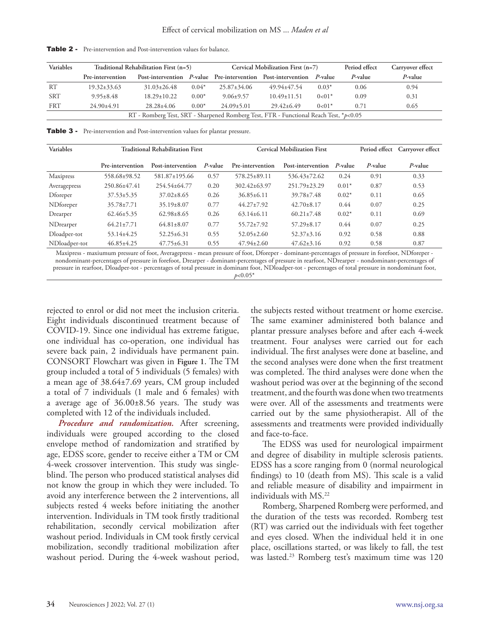| Variables                                                                             | Traditional Rehabilitation First (n=5) |                   |         | Cervical Mobilization First $(n=7)$ |                                                              |         | Period effect | Carryover effect |
|---------------------------------------------------------------------------------------|----------------------------------------|-------------------|---------|-------------------------------------|--------------------------------------------------------------|---------|---------------|------------------|
|                                                                                       | Pre-intervention                       |                   |         |                                     | Post-intervention P-value Pre-intervention Post-intervention | P-value | P-value       | P-value          |
| RT                                                                                    | $19.32 \pm 33.63$                      | $31.03 \pm 26.48$ | $0.04*$ | $25.87 \pm 34.06$                   | 49.94+47.54                                                  | $0.03*$ | 0.06          | 0.94             |
| <b>SRT</b>                                                                            | $9.95 + 8.48$                          | $18.29 \pm 10.22$ | $0.00*$ | $9.06 \pm 9.57$                     | $10.49 \pm 11.51$                                            | $0<01*$ | 0.09          | 0.31             |
| <b>FRT</b>                                                                            | $24.90 \pm 4.91$                       | $28.28 + 4.06$    | $0.00*$ | $24.09 \pm 5.01$                    | $29.42 + 6.49$                                               | $0<01*$ | 0.71          | 0.65             |
| RT - Romberg Test, SRT - Sharpened Romberg Test, FTR - Functional Reach Test, *p<0.05 |                                        |                   |         |                                     |                                                              |         |               |                  |

Table 2 - Pre-intervention and Post-intervention values for balance.

Table 3 - Pre-intervention and Post-intervention values for plantar pressure.

| Variables        | <b>Traditional Rehabilitation First</b> |                   |            |                    | <b>Cervical Mobilization First</b> |         | Period effect Carryover effect |            |
|------------------|-----------------------------------------|-------------------|------------|--------------------|------------------------------------|---------|--------------------------------|------------|
|                  | Pre-intervention                        | Post-intervention | $P$ -value | Pre-intervention   | Post-intervention                  | P-value | $P$ -value                     | $P$ -value |
| <b>Maxipress</b> | 558.68±98.52                            | 581.87±195.66     | 0.57       | $578.25 \pm 89.11$ | 536.43±72.62                       | 0.24    | 0.91                           | 0.33       |
| Averagepress     | 250.86±47.41                            | 254.54±64.77      | 0.20       | $302.42 \pm 63.97$ | 251.79±23.29                       | $0.01*$ | 0.87                           | 0.53       |
| Dforeper         | $37.53 \pm 5.35$                        | $37.02 \pm 8.65$  | 0.26       | $36.85 \pm 6.11$   | $39.78 \pm 7.48$                   | $0.02*$ | 0.11                           | 0.65       |
| NDforeper        | $35.78 \pm 7.71$                        | $35.19 \pm 8.07$  | 0.77       | $44.27 \pm 7.92$   | $42.70 \pm 8.17$                   | 0.44    | 0.07                           | 0.25       |
| Drearper         | $62.46 \pm 5.35$                        | $62.98 \pm 8.65$  | 0.26       | $63.14 \pm 6.11$   | $60.21 \pm 7.48$                   | $0.02*$ | 0.11                           | 0.69       |
| NDrearper        | $64.21 \pm 7.71$                        | $64.81 \pm 8.07$  | 0.77       | $55.72 \pm 7.92$   | $57.29 \pm 8.17$                   | 0.44    | 0.07                           | 0.25       |
| Dloadper-tot     | 53.14±4.25                              | $52.25 \pm 6.31$  | 0.55       | $52.05 \pm 2.60$   | $52.37 \pm 3.16$                   | 0.92    | 0.58                           | 0.88       |
| NDloadper-tot    | $46.85 \pm 4.25$                        | $47.75 \pm 6.31$  | 0.55       | $47.94 \pm 2.60$   | $47.62 \pm 3.16$                   | 0.92    | 0.58                           | 0.87       |

Maxipress - maxiumum pressure of foot, Averagepress - mean pressure of foot, Dforeper - dominant-percentages of pressure in forefoot, NDforeper nondominant-percentages of pressure in forefoot, Drearper - dominant-percentages of pressure in rearfoot, NDrearper - nondominant-percentages of pressure in rearfoot, Dloadper-tot - percentages of total pressure in dominant foot, NDloadper-tot - percentages of total pressure in nondominant foot, *p*<0.05\*

rejected to enrol or did not meet the inclusion criteria. Eight individuals discontinued treatment because of COVID-19. Since one individual has extreme fatigue, one individual has co-operation, one individual has severe back pain, 2 individuals have permanent pain. CONSORT Flowchart was given in **Figure 1**. The TM group included a total of 5 individuals (5 females) with a mean age of 38.64±7.69 years, CM group included a total of 7 individuals (1 male and 6 females) with a average age of 36.00±8.56 years. The study was completed with 12 of the individuals included.

*Procedure and randomization.* After screening, individuals were grouped according to the closed envelope method of randomization and stratified by age, EDSS score, gender to receive either a TM or CM 4-week crossover intervention. This study was singleblind. The person who produced statistical analyses did not know the group in which they were included. To avoid any interference between the 2 interventions, all subjects rested 4 weeks before initiating the another intervention. Individuals in TM took firstly traditional rehabilitation, secondly cervical mobilization after washout period. Individuals in CM took firstly cervical mobilization, secondly traditional mobilization after washout period. During the 4-week washout period, the subjects rested without treatment or home exercise. The same examiner administered both balance and plantar pressure analyses before and after each 4-week treatment. Four analyses were carried out for each individual. The first analyses were done at baseline, and the second analyses were done when the first treatment was completed. The third analyses were done when the washout period was over at the beginning of the second treatment, and the fourth was done when two treatments were over. All of the assessments and treatments were carried out by the same physiotherapist. All of the assessments and treatments were provided individually and face-to-face.

The EDSS was used for neurological impairment and degree of disability in multiple sclerosis patients. EDSS has a score ranging from 0 (normal neurological findings) to 10 (death from MS). This scale is a valid and reliable measure of disability and impairment in individuals with MS.22

Romberg, Sharpened Romberg were performed, and the duration of the tests was recorded. Romberg test (RT) was carried out the individuals with feet together and eyes closed. When the individual held it in one place, oscillations started, or was likely to fall, the test was lasted.23 Romberg test's maximum time was 120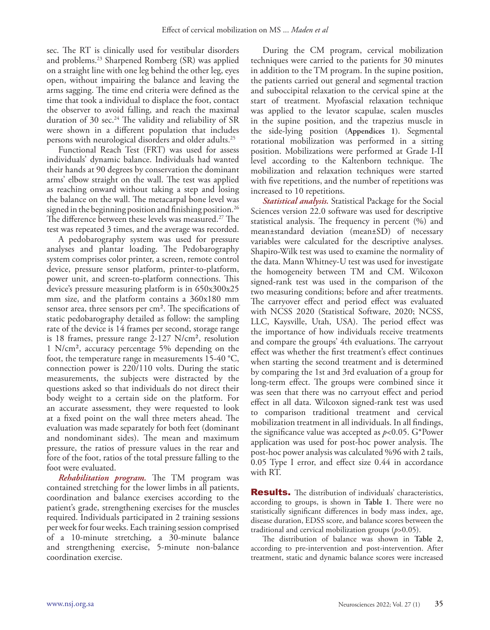sec. The RT is clinically used for vestibular disorders and problems.23 Sharpened Romberg (SR) was applied on a straight line with one leg behind the other leg, eyes open, without impairing the balance and leaving the arms sagging. The time end criteria were defined as the time that took a individual to displace the foot, contact the observer to avoid falling, and reach the maximal duration of 30 sec.<sup>24</sup> The validity and reliability of SR were shown in a different population that includes persons with neurological disorders and older adults.25

Functional Reach Test (FRT) was used for assess individuals' dynamic balance. Individuals had wanted their hands at 90 degrees by conservation the dominant arms' elbow straight on the wall. The test was applied as reaching onward without taking a step and losing the balance on the wall. The metacarpal bone level was signed in the beginning position and finishing position.<sup>26</sup> The difference between these levels was measured.27 The test was repeated 3 times, and the average was recorded.

A pedobarography system was used for pressure analyses and plantar loading. The Pedobarography system comprises color printer, a screen, remote control device, pressure sensor platform, printer-to-platform, power unit, and screen-to-platform connections. This device's pressure measuring platform is in 650x300x25 mm size, and the platform contains a 360x180 mm sensor area, three sensors per cm². The specifications of static pedobarography detailed as follow: the sampling rate of the device is 14 frames per second, storage range is 18 frames, pressure range 2-127 N/cm², resolution 1 N/cm², accuracy percentage 5% depending on the foot, the temperature range in measurements 15-40 °C, connection power is 220/110 volts. During the static measurements, the subjects were distracted by the questions asked so that individuals do not direct their body weight to a certain side on the platform. For an accurate assessment, they were requested to look at a fixed point on the wall three meters ahead. The evaluation was made separately for both feet (dominant and nondominant sides). The mean and maximum pressure, the ratios of pressure values in the rear and fore of the foot, ratios of the total pressure falling to the foot were evaluated.

*Rehabilitation program.* The TM program was contained stretching for the lower limbs in all patients, coordination and balance exercises according to the patient's grade, strengthening exercises for the muscles required. Individuals participated in 2 training sessions per week for four weeks. Each training session comprised of a 10-minute stretching, a 30-minute balance and strengthening exercise, 5-minute non-balance coordination exercise.

During the CM program, cervical mobilization techniques were carried to the patients for 30 minutes in addition to the TM program. In the supine position, the patients carried out general and segmental traction and suboccipital relaxation to the cervical spine at the start of treatment. Myofascial relaxation technique was applied to the levator scapulae, scalen muscles in the supine position, and the trapezius muscle in the side-lying position **(Appendices 1)**. Segmental rotational mobilization was performed in a sitting position. Mobilizations were performed at Grade I-II level according to the Kaltenborn technique. The mobilization and relaxation techniques were started with five repetitions, and the number of repetitions was increased to 10 repetitions.

*Statistical analysis.* Statistical Package for the Social Sciences version 22.0 software was used for descriptive statistical analysis. The frequency in percent (%) and mean±standard deviation (mean±SD) of necessary variables were calculated for the descriptive analyses. Shapiro-Wilk test was used to examine the normality of the data. Mann Whitney-U test was used for investigate the homogeneity between TM and CM. Wilcoxon signed-rank test was used in the comparison of the two measuring conditions; before and after treatments. The carryover effect and period effect was evaluated with NCSS 2020 (Statistical Software, 2020; NCSS, LLC, Kaysville, Utah, USA). The period effect was the importance of how individuals receive treatments and compare the groups' 4th evaluations. The carryout effect was whether the first treatment's effect continues when starting the second treatment and is determined by comparing the 1st and 3rd evaluation of a group for long-term effect. The groups were combined since it was seen that there was no carryout effect and period effect in all data. Wilcoxon signed-rank test was used to comparison traditional treatment and cervical mobilization treatment in all individuals. In all findings, the significance value was accepted as *p*<0.05. G\*Power application was used for post-hoc power analysis. The post-hoc power analysis was calculated %96 with 2 tails, 0.05 Type I error, and effect size 0.44 in accordance with RT.

**Results.** The distribution of individuals' characteristics, according to groups, is shown in **Table 1**. There were no statistically significant differences in body mass index, age, disease duration, EDSS score, and balance scores between the traditional and cervical mobilization groups (*p*>0.05).

The distribution of balance was shown in **Table 2**, according to pre-intervention and post-intervention. After treatment, static and dynamic balance scores were increased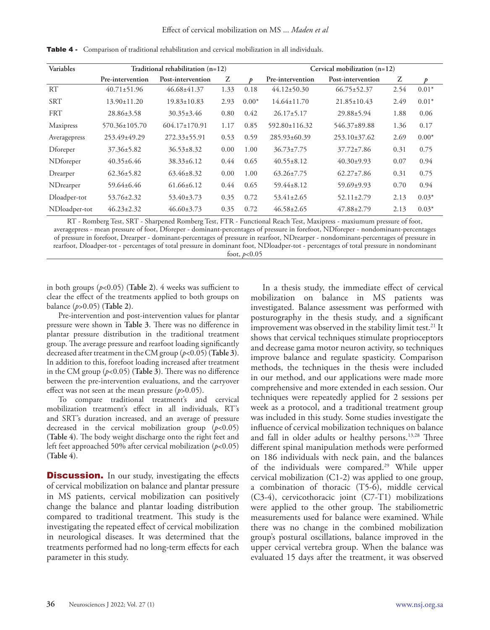| Variables     | Traditional rehabilitation $(n=12)$ |                     |      |         | Cervical mobilization $(n=12)$ |                    |      |         |
|---------------|-------------------------------------|---------------------|------|---------|--------------------------------|--------------------|------|---------|
|               | Pre-intervention                    | Post-intervention   | Z    | ħ       | Pre-intervention               | Post-intervention  | Z    | D       |
| RT            | $40.71 \pm 51.96$                   | $46.68 \pm 41.37$   | 1.33 | 0.18    | $44.12 \pm 50.30$              | $66.75 \pm 52.37$  | 2.54 | $0.01*$ |
| <b>SRT</b>    | $13.90 \pm 11.20$                   | $19.83 \pm 10.83$   | 2.93 | $0.00*$ | $14.64 \pm 11.70$              | $21.85 \pm 10.43$  | 2.49 | $0.01*$ |
| <b>FRT</b>    | $28.86 \pm 3.58$                    | $30.35 \pm 3.46$    | 0.80 | 0.42    | $26.17\pm5.17$                 | $29.88 \pm 5.94$   | 1.88 | 0.06    |
| Maxipress     | 570.36±105.70                       | $604.17 \pm 170.91$ | 1.17 | 0.85    | $592.80 \pm 116.32$            | 546.37±89.88       | 1.36 | 0.17    |
| Averagepress  | $253.49 \pm 49.29$                  | 272.33±55.91        | 0.53 | 0.59    | $285.93\pm 60.39$              | $253.10 \pm 37.62$ | 2.69 | $0.00*$ |
| Dforeper      | $37.36 \pm 5.82$                    | $36.53 \pm 8.32$    | 0.00 | 1.00    | $36.73 \pm 7.75$               | $37.72 \pm 7.86$   | 0.31 | 0.75    |
| NDforeper     | $40.35 \pm 6.46$                    | $38.33 \pm 6.12$    | 0.44 | 0.65    | $40.55 \pm 8.12$               | $40.30+9.93$       | 0.07 | 0.94    |
| Drearper      | $62.36 \pm 5.82$                    | $63.46 \pm 8.32$    | 0.00 | 1.00    | $63.26 \pm 7.75$               | $62.27 \pm 7.86$   | 0.31 | 0.75    |
| NDrearper     | 59.64±6.46                          | $61.66 \pm 6.12$    | 0.44 | 0.65    | $59.44 \pm 8.12$               | $59.69 \pm 9.93$   | 0.70 | 0.94    |
| Dloadper-tot  | $53.76 \pm 2.32$                    | $53.40 \pm 3.73$    | 0.35 | 0.72    | $53.41 \pm 2.65$               | $52.11 \pm 2.79$   | 2.13 | $0.03*$ |
| NDloadper-tot | $46.23 \pm 2.32$                    | $46.60 \pm 3.73$    | 0.35 | 0.72    | $46.58 \pm 2.65$               | $47.88 \pm 2.79$   | 2.13 | $0.03*$ |

Table 4 - Comparison of traditional rehabilitation and cervical mobilization in all individuals.

RT - Romberg Test, SRT - Sharpened Romberg Test, FTR - Functional Reach Test, Maxipress - maxiumum pressure of foot, averagepress - mean pressure of foot, Dforeper - dominant-percentages of pressure in forefoot, NDforeper - nondominant-percentages of pressure in forefoot, Drearper - dominant-percentages of pressure in rearfoot, NDrearper - nondominant-percentages of pressure in rearfoot, Dloadper-tot - percentages of total pressure in dominant foot, NDloadper-tot - percentages of total pressure in nondominant foot, *p*<0.05

in both groups (*p*<0.05) **(Table 2)**. 4 weeks was sufficient to clear the effect of the treatments applied to both groups on balance (*p*>0.05) **(Table 2)**.

Pre-intervention and post-intervention values for plantar pressure were shown in **Table 3**. There was no difference in plantar pressure distribution in the traditional treatment group. The average pressure and rearfoot loading significantly decreased after treatment in the CM group (*p*<0.05) **(Table 3)**. In addition to this, forefoot loading increased after treatment in the CM group (*p*<0.05) **(Table 3)**. There was no difference between the pre-intervention evaluations, and the carryover effect was not seen at the mean pressure (*p*>0.05).

To compare traditional treatment's and cervical mobilization treatment's effect in all individuals, RT's and SRT's duration increased, and an average of pressure decreased in the cervical mobilization group (*p*<0.05) **(Table 4)**. The body weight discharge onto the right feet and left feet approached 50% after cervical mobilization (*p*<0.05) **(Table 4)**.

**Discussion.** In our study, investigating the effects of cervical mobilization on balance and plantar pressure in MS patients, cervical mobilization can positively change the balance and plantar loading distribution compared to traditional treatment. This study is the investigating the repeated effect of cervical mobilization in neurological diseases. It was determined that the treatments performed had no long-term effects for each parameter in this study.

In a thesis study, the immediate effect of cervical mobilization on balance in MS patients was investigated. Balance assessment was performed with posturography in the thesis study, and a significant improvement was observed in the stability limit test.<sup>21</sup> It shows that cervical techniques stimulate proprioceptors and decrease gama motor neuron activity, so techniques improve balance and regulate spasticity. Comparison methods, the techniques in the thesis were included in our method, and our applications were made more comprehensive and more extended in each session. Our techniques were repeatedly applied for 2 sessions per week as a protocol, and a traditional treatment group was included in this study. Some studies investigate the influence of cervical mobilization techniques on balance and fall in older adults or healthy persons.<sup>13,28</sup> Three different spinal manipulation methods were performed on 186 individuals with neck pain, and the balances of the individuals were compared.<sup>29</sup> While upper cervical mobilization (C1-2) was applied to one group, a combination of thoracic (T5-6), middle cervical (C3-4), cervicothoracic joint (C7-T1) mobilizations were applied to the other group. The stabiliometric measurements used for balance were examined. While there was no change in the combined mobilization group's postural oscillations, balance improved in the upper cervical vertebra group. When the balance was evaluated 15 days after the treatment, it was observed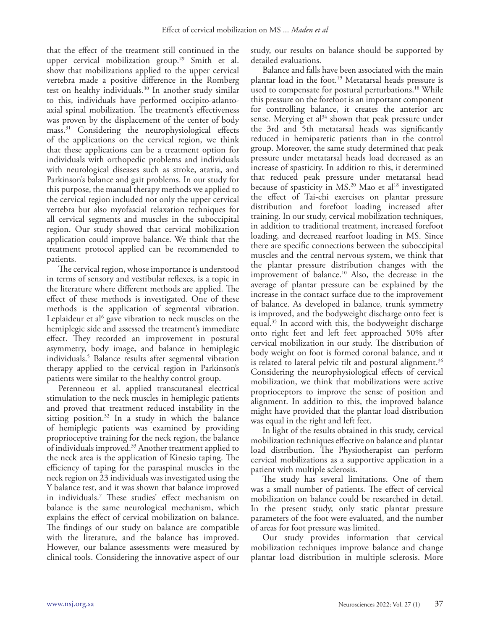that the effect of the treatment still continued in the upper cervical mobilization group.<sup>29</sup> Smith et al. show that mobilizations applied to the upper cervical vertebra made a positive difference in the Romberg test on healthy individuals.<sup>30</sup> In another study similar to this, individuals have performed occipito-atlantoaxial spinal mobilization. The treatment's effectiveness was proven by the displacement of the center of body mass.31 Considering the neurophysiological effects of the applications on the cervical region, we think that these applications can be a treatment option for individuals with orthopedic problems and individuals with neurological diseases such as stroke, ataxia, and Parkinson's balance and gait problems. In our study for this purpose, the manual therapy methods we applied to the cervical region included not only the upper cervical vertebra but also myofascial relaxation techniques for all cervical segments and muscles in the suboccipital region. Our study showed that cervical mobilization application could improve balance. We think that the treatment protocol applied can be recommended to patients.

The cervical region, whose importance is understood in terms of sensory and vestibular reflexes, is a topic in the literature where different methods are applied. The effect of these methods is investigated. One of these methods is the application of segmental vibration. Leplaideur et al<sup>6</sup> gave vibration to neck muscles on the hemiplegic side and assessed the treatment's immediate effect. They recorded an improvement in postural asymmetry, body image, and balance in hemiplegic individuals.5 Balance results after segmental vibration therapy applied to the cervical region in Parkinson's patients were similar to the healthy control group.

Perenneou et al. applied transcutaneal electrical stimulation to the neck muscles in hemiplegic patients and proved that treatment reduced instability in the sitting position.<sup>32</sup> In a study in which the balance of hemiplegic patients was examined by providing proprioceptive training for the neck region, the balance of individuals improved.33 Another treatment applied to the neck area is the application of Kinesio taping. The efficiency of taping for the paraspinal muscles in the neck region on 23 individuals was investigated using the Y balance test, and it was shown that balance improved in individuals.7 These studies' effect mechanism on balance is the same neurological mechanism, which explains the effect of cervical mobilization on balance. The findings of our study on balance are compatible with the literature, and the balance has improved. However, our balance assessments were measured by clinical tools. Considering the innovative aspect of our

study, our results on balance should be supported by detailed evaluations.

Balance and falls have been associated with the main plantar load in the foot.19 Metatarsal heads pressure is used to compensate for postural perturbations.<sup>18</sup> While this pressure on the forefoot is an important component for controlling balance, it creates the anterior arc sense. Merying et al<sup>34</sup> shown that peak pressure under the 3rd and 5th metatarsal heads was significantly reduced in hemiparetic patients than in the control group. Moreover, the same study determined that peak pressure under metatarsal heads load decreased as an increase of spasticity. In addition to this, it determined that reduced peak pressure under metatarsal head because of spasticity in  $MS<sup>20</sup>$  Mao et al<sup>18</sup> investigated the effect of Tai-chi exercises on plantar pressure distribution and forefoot loading increased after training. In our study, cervical mobilization techniques, in addition to traditional treatment, increased forefoot loading, and decreased rearfoot loading in MS. Since there are specific connections between the suboccipital muscles and the central nervous system, we think that the plantar pressure distribution changes with the improvement of balance.<sup>10</sup> Also, the decrease in the average of plantar pressure can be explained by the increase in the contact surface due to the improvement of balance. As developed in balance, trunk symmetry is improved, and the bodyweight discharge onto feet is equal.35 In accord with this, the bodyweight discharge onto right feet and left feet approached 50% after cervical mobilization in our study. The distribution of body weight on foot is formed coronal balance, and ıt is related to lateral pelvic tilt and postural alignment.<sup>36</sup> Considering the neurophysiological effects of cervical mobilization, we think that mobilizations were active proprioceptors to improve the sense of position and alignment. In addition to this, the improved balance might have provided that the plantar load distribution was equal in the right and left feet.

In light of the results obtained in this study, cervical mobilization techniques effective on balance and plantar load distribution. The Physiotherapist can perform cervical mobilizations as a supportive application in a patient with multiple sclerosis.

The study has several limitations. One of them was a small number of patients. The effect of cervical mobilization on balance could be researched in detail. In the present study, only static plantar pressure parameters of the foot were evaluated, and the number of areas for foot pressure was limited.

Our study provides information that cervical mobilization techniques improve balance and change plantar load distribution in multiple sclerosis. More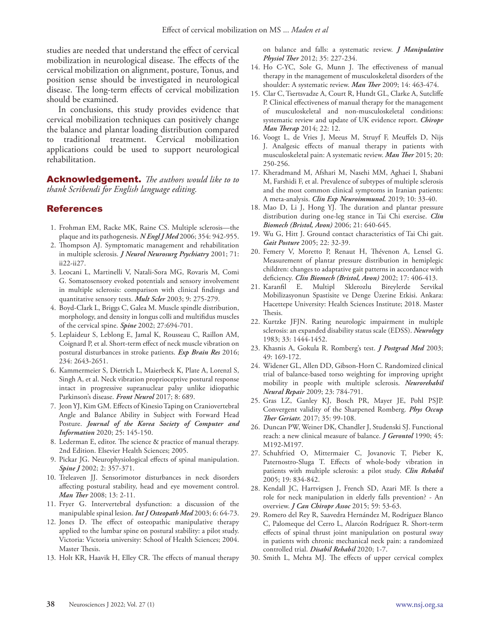studies are needed that understand the effect of cervical mobilization in neurological disease. The effects of the cervical mobilization on alignment, posture, Tonus, and position sense should be investigated in neurological disease. The long-term effects of cervical mobilization should be examined.

In conclusions, this study provides evidence that cervical mobilization techniques can positively change the balance and plantar loading distribution compared to traditional treatment. Cervical mobilization applications could be used to support neurological rehabilitation.

Acknowledgement. *The authors would like to to thank Scribendi for English language editing.*

### References

- 1. Frohman EM, Racke MK, Raine CS. Multiple sclerosis—the plaque and its pathogenesis. *N Engl J Med* 2006; 354: 942-955.
- 2. Thompson AJ. Symptomatic management and rehabilitation in multiple sclerosis. *J Neurol Neurosurg Psychiatry* 2001; 71: ii22-ii27.
- 3. Leocani L, Martinelli V, Natali-Sora MG, Rovaris M, Comi G. Somatosensory evoked potentials and sensory involvement in multiple sclerosis: comparison with clinical findings and quantitative sensory tests. *Mult Scler* 2003; 9: 275-279.
- 4. Boyd-Clark L, Briggs C, Galea M. Muscle spindle distribution, morphology, and density in longus colli and multifidus muscles of the cervical spine. *Spine* 2002; 27:694-701.
- 5. Leplaideur S, Leblong E, Jamal K, Rousseau C, Raillon AM, Coignard P, et al. Short-term effect of neck muscle vibration on postural disturbances in stroke patients. *Exp Brain Res* 2016; 234: 2643-2651.
- 6. Kammermeier S, Dietrich L, Maierbeck K, Plate A, Lorenzl S, Singh A, et al. Neck vibration proprioceptive postural response intact in progressive supranuclear palsy unlike idiopathic Parkinson's disease. *Front Neurol* 2017; 8: 689.
- 7. Jeon YJ, Kim GM. Effects of Kinesio Taping on Craniovertebral Angle and Balance Ability in Subject with Forward Head Posture. *Journal of the Korea Society of Computer and Information* 2020; 25: 145-150.
- 8. Lederman E, editor. The science & practice of manual therapy. 2nd Edition. Elsevier Health Sciences; 2005.
- 9. Pickar JG. Neurophysiological effects of spinal manipulation. *Spine J* 2002; 2: 357-371.
- 10. Treleaven JJ. Sensorimotor disturbances in neck disorders affecting postural stability, head and eye movement control. *Man Ther* 2008; 13: 2-11.
- 11. Fryer G. Intervertebral dysfunction: a discussion of the manipulable spinal lesion. *Int J Osteopath Med* 2003; 6: 64-73.
- 12. Jones D. The effect of osteopathic manipulative therapy applied to the lumbar spine on postural stability: a pilot study. Victoria: Victoria university: School of Health Sciences; 2004. Master Thesis.
- 13. Holt KR, Haavik H, Elley CR. The effects of manual therapy

on balance and falls: a systematic review. *J Manipulative Physiol Ther* 2012; 35: 227-234.

- 14. Ho C-YC, Sole G, Munn J. The effectiveness of manual therapy in the management of musculoskeletal disorders of the shoulder: A systematic review. *Man Ther* 2009; 14: 463-474.
- 15. Clar C, Tsertsvadze A, Court R, Hundt GL, Clarke A, Sutcliffe P. Clinical effectiveness of manual therapy for the management of musculoskeletal and non-musculoskeletal conditions: systematic review and update of UK evidence report. *Chiropr Man Therap* 2014; 22: 12.
- 16. Voogt L, de Vries J, Meeus M, Struyf F, Meuffels D, Nijs J. Analgesic effects of manual therapy in patients with musculoskeletal pain: A systematic review. *Man Ther* 2015; 20: 250-256.
- 17. Kheradmand M, Afshari M, Nasehi MM, Aghaei I, Shabani M, Farshidi F, et al. Prevalence of subtypes of multiple sclerosis and the most common clinical symptoms in Iranian patients: A meta-analysis. *Clin Exp Neuroimmunol.* 2019; 10: 33-40.
- 18. Mao D, Li J, Hong YJ. The duration and plantar pressure distribution during one-leg stance in Tai Chi exercise. *Clin Biomech (Bristol, Avon)* 2006; 21: 640-645.
- 19. Wu G, Hitt J. Ground contact characteristics of Tai Chi gait. *Gait Posture* 2005; 22: 32-39.
- 20. Femery V, Moretto P, Renaut H, Thévenon A, Lensel G. Measurement of plantar pressure distribution in hemiplegic children: changes to adaptative gait patterns in accordance with deficiency. *Clin Biomech (Bristol, Avon)* 2002; 17: 406-413.
- 21. Karanfil E. Multipl Sklerozlu Bireylerde Servikal Mobilizasyonun Spastisite ve Denge Üzerine Etkisi. Ankara: Hacettepe University: Health Sciences Institute; 2018. Master Thesis.
- 22. Kurtzke JFJN. Rating neurologic impairment in multiple sclerosis: an expanded disability status scale (EDSS). *Neurology* 1983; 33: 1444-1452.
- 23. Khasnis A, Gokula R. Romberg's test. *J Postgrad Med* 2003; 49: 169-172.
- 24. Widener GL, Allen DD, Gibson-Horn C. Randomized clinical trial of balance-based torso weighting for improving upright mobility in people with multiple sclerosis. *Neurorehabil Neural Repair* 2009; 23: 784-791.
- 25. Gras LZ, Ganley KJ, Bosch PR, Mayer JE, Pohl PSJP. Convergent validity of the Sharpened Romberg. *Phys Occup Ther Geriatr.* 2017; 35: 99-108.
- 26. Duncan PW, Weiner DK, Chandler J, Studenski SJ. Functional reach: a new clinical measure of balance. *J Gerontol* 1990; 45: M192-M197.
- 27. Schuhfried O, Mittermaier C, Jovanovic T, Pieber K, Paternostro-Sluga T. Effects of whole-body vibration in patients with multiple sclerosis: a pilot study. *Clin Rehabil*  2005; 19: 834-842.
- 28. Kendall JC, Hartvigsen J, French SD, Azari MF. Is there a role for neck manipulation in elderly falls prevention? - An overview. *J Can Chiropr Assoc* 2015; 59: 53-63.
- 29. Romero del Rey R, Saavedra Hernández M, Rodríguez Blanco C, Palomeque del Cerro L, Alarcón Rodríguez R. Short-term effects of spinal thrust joint manipulation on postural sway in patients with chronic mechanical neck pain: a randomized controlled trial. *Disabil Rehabil* 2020; 1-7.
- 30. Smith L, Mehta MJ. The effects of upper cervical complex